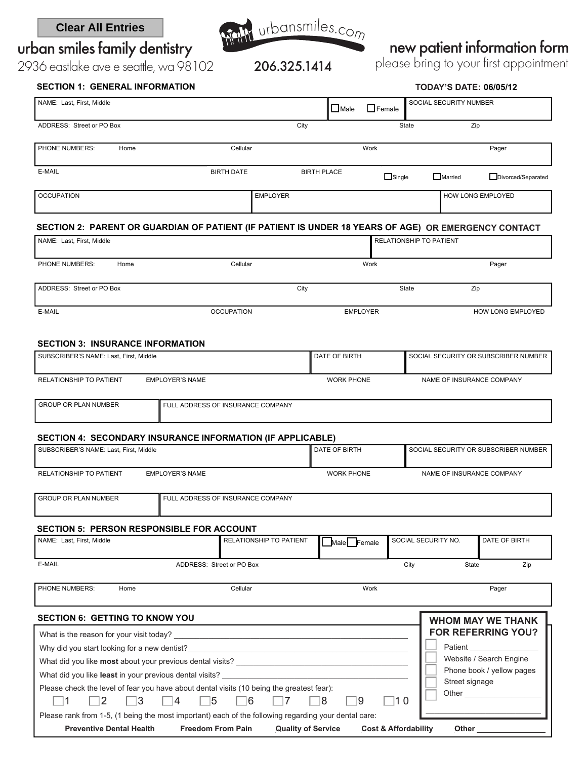### **Clear All Entries**

urban smiles family dentistry



## new patient information form

please bring to your first appointment

2936 eastlake ave e seattle, wa 98102 206.325.1414

| <b>SECTION 1: GENERAL INFORMATION</b>                                                               |                                   |                         |                    | <b>TODAY'S DATE: 06/05/12</b> |                                      |                          |  |  |
|-----------------------------------------------------------------------------------------------------|-----------------------------------|-------------------------|--------------------|-------------------------------|--------------------------------------|--------------------------|--|--|
| NAME: Last, First, Middle                                                                           |                                   |                         |                    | $\Box$ Female                 | SOCIAL SECURITY NUMBER               |                          |  |  |
| ADDRESS: Street or PO Box                                                                           |                                   | City                    |                    |                               | State                                | Zip                      |  |  |
| PHONE NUMBERS:<br>Home                                                                              | Cellular                          |                         |                    | Work                          |                                      | Pager                    |  |  |
| E-MAIL                                                                                              | <b>BIRTH DATE</b>                 |                         | <b>BIRTH PLACE</b> | $\Box$ Single                 | Married                              | Divorced/Separated       |  |  |
| <b>OCCUPATION</b>                                                                                   |                                   | <b>EMPLOYER</b>         |                    |                               | HOW LONG EMPLOYED                    |                          |  |  |
| SECTION 2: PARENT OR GUARDIAN OF PATIENT (IF PATIENT IS UNDER 18 YEARS OF AGE) OR EMERGENCY CONTACT |                                   |                         |                    |                               |                                      |                          |  |  |
| NAME: Last, First, Middle                                                                           |                                   | RELATIONSHIP TO PATIENT |                    |                               |                                      |                          |  |  |
| PHONE NUMBERS:<br>Home                                                                              | Cellular                          |                         | Work               |                               |                                      | Pager                    |  |  |
| ADDRESS: Street or PO Box                                                                           |                                   | City                    |                    |                               | State                                | Zip                      |  |  |
| E-MAIL                                                                                              | <b>OCCUPATION</b>                 |                         | <b>EMPLOYER</b>    |                               |                                      | HOW LONG EMPLOYED        |  |  |
| <b>SECTION 3: INSURANCE INFORMATION</b>                                                             |                                   |                         |                    |                               |                                      |                          |  |  |
| SUBSCRIBER'S NAME: Last, First, Middle                                                              |                                   |                         | DATE OF BIRTH      |                               | SOCIAL SECURITY OR SUBSCRIBER NUMBER |                          |  |  |
| RELATIONSHIP TO PATIENT                                                                             | <b>EMPLOYER'S NAME</b>            |                         | <b>WORK PHONE</b>  |                               | NAME OF INSURANCE COMPANY            |                          |  |  |
| GROUP OR PLAN NUMBER                                                                                | FULL ADDRESS OF INSURANCE COMPANY |                         |                    |                               |                                      |                          |  |  |
| SECTION 4: SECONDARY INSURANCE INFORMATION (IF APPLICABLE)                                          |                                   |                         |                    |                               |                                      |                          |  |  |
| SUBSCRIBER'S NAME: Last, First, Middle                                                              |                                   |                         | DATE OF BIRTH      |                               | SOCIAL SECURITY OR SUBSCRIBER NUMBER |                          |  |  |
| RELATIONSHIP TO PATIENT                                                                             | <b>EMPLOYER'S NAME</b>            |                         | <b>WORK PHONE</b>  |                               | NAME OF INSURANCE COMPANY            |                          |  |  |
| <b>GROUP OR PLAN NUMBER</b>                                                                         | FULL ADDRESS OF INSURANCE COMPANY |                         |                    |                               |                                      |                          |  |  |
| <b>SECTION 5: PERSON RESPONSIBLE FOR ACCOUNT</b>                                                    |                                   |                         |                    |                               |                                      |                          |  |  |
| NAME: Last, First, Middle                                                                           |                                   | RELATIONSHIP TO PATIENT | Male Female        |                               | SOCIAL SECURITY NO.                  | DATE OF BIRTH            |  |  |
| E-MAIL                                                                                              | ADDRESS: Street or PO Box         |                         |                    |                               | City<br>State                        | Zip                      |  |  |
| PHONE NUMBERS:<br>Home                                                                              | Cellular                          |                         |                    | Work                          | Pager                                |                          |  |  |
| <b>SECTION 6: GETTING TO KNOW YOU</b>                                                               |                                   |                         |                    |                               |                                      | <b>WHOM MAY WE THANK</b> |  |  |

| ULVIIVII V. ULI IIIIV TVIIIVII TUU                                                                                                     | WHOM MAY WE IHANK         |
|----------------------------------------------------------------------------------------------------------------------------------------|---------------------------|
| What is the reason for your visit today?                                                                                               | <b>FOR REFERRING YOU?</b> |
| Why did you start looking for a new dentist?                                                                                           | Patient                   |
| What did you like most about your previous dental visits?                                                                              | Website / Search Engine   |
| What did you like least in your previous dental visits?                                                                                | Phone book / yellow pages |
| Please check the level of fear you have about dental visits (10 being the greatest fear):<br>$\vert$ 10<br>16<br>-8<br>-15<br>19<br>14 | Street signage<br>Other   |
| Please rank from 1-5, (1 being the most important) each of the following regarding your dental care:                                   |                           |
| <b>Preventive Dental Health</b><br><b>Freedom From Pain</b><br><b>Quality of Service</b><br><b>Cost &amp; Affordability</b>            | Other                     |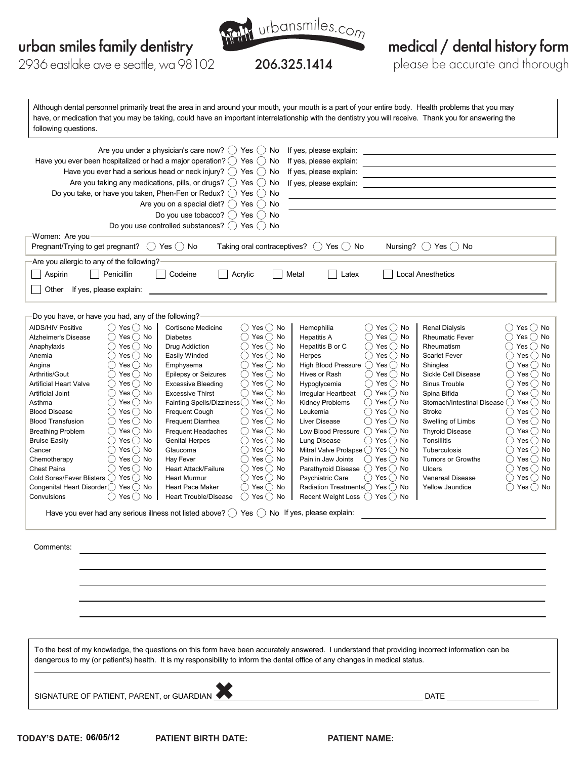

5.325.1414

medical / dental history form

please be accurate and thorough

2936 eastlake ave e seattle, wa 98102

Although dental personnel primarily treat the area in and around your mouth, your mouth is a part of your entire body. Health problems that you may following questions. have, or medication that you may be taking, could have an important interrelationship with the dentistry you will receive. Thank you for answering the

| Are you under a physician's care now? $( )$ Yes<br>If yes, please explain:<br>$( )$ No<br>Have you ever been hospitalized or had a major operation? $\bigcirc$ Yes<br>If yes, please explain:<br>$($ )<br>No<br>Have you ever had a serious head or neck injury? $($ $)$ Yes $($ $)$<br>If yes, please explain:<br>No<br>Are you taking any medications, pills, or drugs? $($ $)$ Yes $($ $)$<br>If yes, please explain:<br>No<br>Do you take, or have you taken, Phen-Fen or Redux? $( )$ Yes<br>No<br>$($ )<br>Are you on a special diet? $( )$ Yes<br>No<br>$($ )<br>Do you use tobacco? $( )$ Yes<br>$($ )<br>No<br>Do you use controlled substances? $( )$ Yes<br>$( )$ No<br>Women: Are you<br>Taking oral contraceptives? $\bigcirc$ Yes $\bigcirc$ No<br>Pregnant/Trying to get pregnant?<br>$()$ Yes $()$ No<br>Nursing?<br>() Yes() No<br>Are you allergic to any of the following?<br>Penicillin<br>Aspirin<br>Codeine<br>Local Anesthetics<br>Acrylic<br>Metal<br>Latex<br>Other<br>If yes, please explain:                                                                                                                                                                                                                                                                                                                                                                                                                                                                                                                                                                                                                                                                                                                                                                                                                                                                                                                                                                                                                                                                                                                                                                                                                                                                                                                                                                                                                                                                                                                                                                                                                                                                                                                                                                                                                                                                                                                                                                                                                                                                                                                                    |
|------------------------------------------------------------------------------------------------------------------------------------------------------------------------------------------------------------------------------------------------------------------------------------------------------------------------------------------------------------------------------------------------------------------------------------------------------------------------------------------------------------------------------------------------------------------------------------------------------------------------------------------------------------------------------------------------------------------------------------------------------------------------------------------------------------------------------------------------------------------------------------------------------------------------------------------------------------------------------------------------------------------------------------------------------------------------------------------------------------------------------------------------------------------------------------------------------------------------------------------------------------------------------------------------------------------------------------------------------------------------------------------------------------------------------------------------------------------------------------------------------------------------------------------------------------------------------------------------------------------------------------------------------------------------------------------------------------------------------------------------------------------------------------------------------------------------------------------------------------------------------------------------------------------------------------------------------------------------------------------------------------------------------------------------------------------------------------------------------------------------------------------------------------------------------------------------------------------------------------------------------------------------------------------------------------------------------------------------------------------------------------------------------------------------------------------------------------------------------------------------------------------------------------------------------------------------------------------------------------------------------------------------------------------------------------------------------------------------------------------------------------------------------------------------------------------------------------------------------------------------------------------------------------------------------------------------------------------------------------------------------------------------------------------------------------------------------------------------------------------------------------------------------------|
| Do you have, or have you had, any of the following?                                                                                                                                                                                                                                                                                                                                                                                                                                                                                                                                                                                                                                                                                                                                                                                                                                                                                                                                                                                                                                                                                                                                                                                                                                                                                                                                                                                                                                                                                                                                                                                                                                                                                                                                                                                                                                                                                                                                                                                                                                                                                                                                                                                                                                                                                                                                                                                                                                                                                                                                                                                                                                                                                                                                                                                                                                                                                                                                                                                                                                                                                                        |
| ( ) Yes ( ) No<br><b>AIDS/HIV Positive</b><br><b>Cortisone Medicine</b><br>( ) Yes ( ) No<br>Hemophilia<br>( ) Yes ( ) No<br><b>Renal Dialysis</b><br>()Yes()No<br>$Yes \bigcirc$ No<br>$\bigcirc$ Yes $\bigcirc$ No<br>Yes $\bigcirc$ No<br>Yes() No<br><b>Rheumatic Fever</b><br>Alzheimer's Disease<br><b>Diabetes</b><br><b>Hepatitis A</b><br>$\bigcirc$ Yes $\bigcirc$ No<br>Yes() No<br>Yes() No<br>Drug Addiction<br>Hepatitis B or C<br>Yes() No<br>( )<br>Rheumatism<br>Anaphylaxis<br>$Yes$ No<br>$\bigcirc$ Yes $\bigcirc$ No<br>$\bigcirc$ Yes $\bigcirc$ No<br>Yes() No<br>Easily Winded<br>Herpes<br><b>Scarlet Fever</b><br>$($ )<br>Anemia<br>Yes() No<br>Yes() No<br>Emphysema<br>()Yes()No<br><b>High Blood Pressure</b><br>() Yes() No<br>Shingles<br>$($ )<br>Angina<br>Yes() No<br>( )Yes ( )No<br>( ) Yes ( ) No<br>Yes() No<br>Epilepsy or Seizures<br>Sickle Cell Disease<br>Arthritis/Gout<br>Hives or Rash<br>$($ )<br>Yes $\bigcirc$ No<br>Yes() No<br><b>Excessive Bleeding</b><br>( ) Yes ( ) No<br>() Yes () No<br>Sinus Trouble<br>( )<br><b>Artificial Heart Valve</b><br>Hypoglycemia<br>$Yes$ No<br>$()$ Yes $()$ No<br>()Yes()No<br>Irregular Heartbeat<br>$()$ Yes $()$ No<br>Spina Bifida<br>Artificial Joint<br><b>Excessive Thirst</b><br>Yes() No<br>Fainting Spells/Dizziness ◯ Yes ◯ No<br>Stomach/Intestinal Disease () Yes () No<br>Kidney Problems<br>( )Yes ( )No<br>Asthma<br>$\bigcirc$ Yes $\bigcirc$ No<br>Yes() No<br>()Yes()No<br>()Yes()No<br><b>Blood Disease</b><br>Frequent Cough<br>Leukemia<br>Stroke<br>Yes() No<br>$\bigcirc$ Yes $\bigcirc$ No<br>( )Yes ( )No<br>Swelling of Limbs<br>Yes() No<br><b>Blood Transfusion</b><br><b>Frequent Diarrhea</b><br>Liver Disease<br>( )<br>( ) Yes ( ) No<br>( ) Yes ( ) No<br>$()$ Yes $()$ No<br><b>Thyroid Disease</b><br>( ) Yes ( ) No<br><b>Breathing Problem</b><br>Frequent Headaches<br>Low Blood Pressure<br>$Yes$ No<br>$\bigcirc$ Yes $\bigcirc$ No<br>Yes $\bigcirc$ No<br><b>Genital Herpes</b><br>( ) Yes ( ) No<br>Tonsillitis<br><b>Bruise Easily</b><br>Lung Disease<br>( )<br>Yes() No<br>( )Yes ( )No<br>Mitral Valve Prolapse () Yes () No<br>Yes() No<br>Cancer<br>Glaucoma<br>Tuberculosis<br>$($ )<br>$Yes$ No<br>( ) Yes ( ) No<br>Hay Fever<br>()Yes()No<br>()Yes()No<br>Chemotherapy<br>Pain in Jaw Joints<br><b>Tumors or Growths</b><br>Yes() No<br>() Yes () No<br>()Yes()No<br>Parathyroid Disease () Yes () No<br><b>Chest Pains</b><br><b>Heart Attack/Failure</b><br><b>Ulcers</b><br>$\bigcirc$ Yes $\bigcirc$ No<br>Cold Sores/Fever Blisters ◯ Yes ◯ No<br>$\bigcap$ Yes $\bigcirc$ No<br>Psychiatric Care<br>()Yes()No<br><b>Heart Murmur</b><br><b>Venereal Disease</b><br>Yes $\bigcirc$ No<br>Congenital Heart Disorder () Yes () No<br>( ) Yes ( ) No<br>Radiation Treatments () Yes () No<br><b>Heart Pace Maker</b><br><b>Yellow Jaundice</b><br>Yes()<br>No<br>$\bigcirc$ Yes $\bigcirc$ No<br>Recent Weight Loss $\bigcirc$ Yes $\bigcirc$ No<br>Convulsions<br><b>Heart Trouble/Disease</b><br>Have you ever had any serious illness not listed above? $($ $)$ Yes $($ $)$ No If yes, please explain: |
| Comments:                                                                                                                                                                                                                                                                                                                                                                                                                                                                                                                                                                                                                                                                                                                                                                                                                                                                                                                                                                                                                                                                                                                                                                                                                                                                                                                                                                                                                                                                                                                                                                                                                                                                                                                                                                                                                                                                                                                                                                                                                                                                                                                                                                                                                                                                                                                                                                                                                                                                                                                                                                                                                                                                                                                                                                                                                                                                                                                                                                                                                                                                                                                                                  |
| To the best of my knowledge, the questions on this form have been accurately answered. I understand that providing incorrect information can be<br>dangerous to my (or patient's) health. It is my responsibility to inform the dental office of any changes in medical status.                                                                                                                                                                                                                                                                                                                                                                                                                                                                                                                                                                                                                                                                                                                                                                                                                                                                                                                                                                                                                                                                                                                                                                                                                                                                                                                                                                                                                                                                                                                                                                                                                                                                                                                                                                                                                                                                                                                                                                                                                                                                                                                                                                                                                                                                                                                                                                                                                                                                                                                                                                                                                                                                                                                                                                                                                                                                            |

SIGNATURE OF PATIENT, PARENT, or GUARDIAN  $\blacklozenge$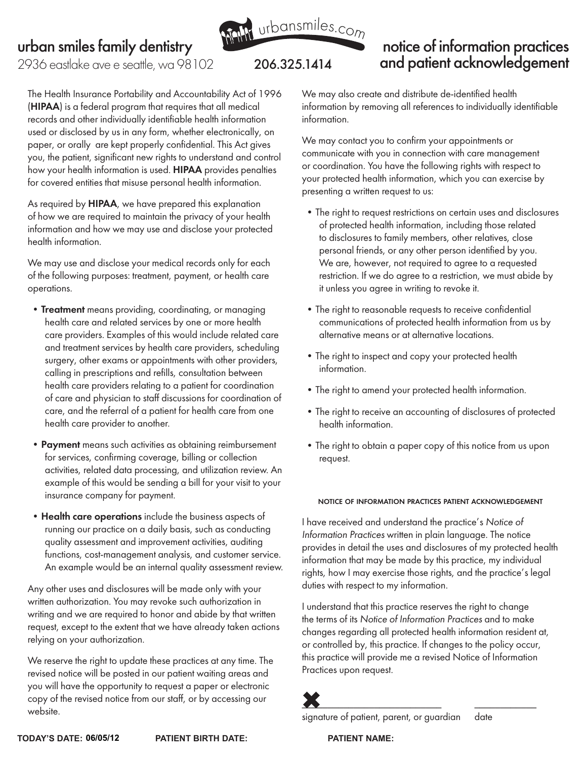

### notice of information practices and patient acknowledgement

2936 eastlake ave e seattle, wa 98102 **206.325.1414** 

The Health Insurance Portability and Accountability Act of 1996 (HIPAA) is a federal program that requires that all medical records and other individually identifiable health information used or disclosed by us in any form, whether electronically, on paper, or orally are kept properly confidential. This Act gives you, the patient, significant new rights to understand and control how your health information is used. HIPAA provides penalties for covered entities that misuse personal health information.

As required by **HIPAA**, we have prepared this explanation of how we are required to maintain the privacy of your health information and how we may use and disclose your protected health information.

We may use and disclose your medical records only for each of the following purposes: treatment, payment, or health care operations.

- Treatment means providing, coordinating, or managing health care and related services by one or more health care providers. Examples of this would include related care and treatment services by health care providers, scheduling surgery, other exams or appointments with other providers, calling in prescriptions and refills, consultation between health care providers relating to a patient for coordination of care and physician to staff discussions for coordination of care, and the referral of a patient for health care from one health care provider to another.
- Payment means such activities as obtaining reimbursement for services, confirming coverage, billing or collection activities, related data processing, and utilization review. An example of this would be sending a bill for your visit to your insurance company for payment.
- Health care operations include the business aspects of running our practice on a daily basis, such as conducting quality assessment and improvement activities, auditing functions, cost-management analysis, and customer service. An example would be an internal quality assessment review.

Any other uses and disclosures will be made only with your written authorization. You may revoke such authorization in writing and we are required to honor and abide by that written request, except to the extent that we have already taken actions relying on your authorization.

We reserve the right to update these practices at any time. The revised notice will be posted in our patient waiting areas and you will have the opportunity to request a paper or electronic copy of the revised notice from our staff, or by accessing our website.

We may also create and distribute de-identified health information by removing all references to individually identifiable information.

We may contact you to confirm your appointments or communicate with you in connection with care management or coordination. You have the following rights with respect to your protected health information, which you can exercise by presenting a written request to us:

- The right to request restrictions on certain uses and disclosures of protected health information, including those related to disclosures to family members, other relatives, close personal friends, or any other person identified by you. We are, however, not required to agree to a requested restriction. If we do agree to a restriction, we must abide by it unless you agree in writing to revoke it.
- The right to reasonable requests to receive confidential communications of protected health information from us by alternative means or at alternative locations.
- The right to inspect and copy your protected health information.
- The right to amend your protected health information.
- The right to receive an accounting of disclosures of protected health information.
- The right to obtain a paper copy of this notice from us upon request.

#### notice of information practices patient acknowledgement

I have received and understand the practice's Notice of Information Practices written in plain language. The notice provides in detail the uses and disclosures of my protected health information that may be made by this practice, my individual rights, how I may exercise those rights, and the practice's legal duties with respect to my information.

I understand that this practice reserves the right to change the terms of its Notice of Information Practices and to make changes regarding all protected health information resident at, or controlled by, this practice. If changes to the policy occur, this practice will provide me a revised Notice of Information Practices upon request.

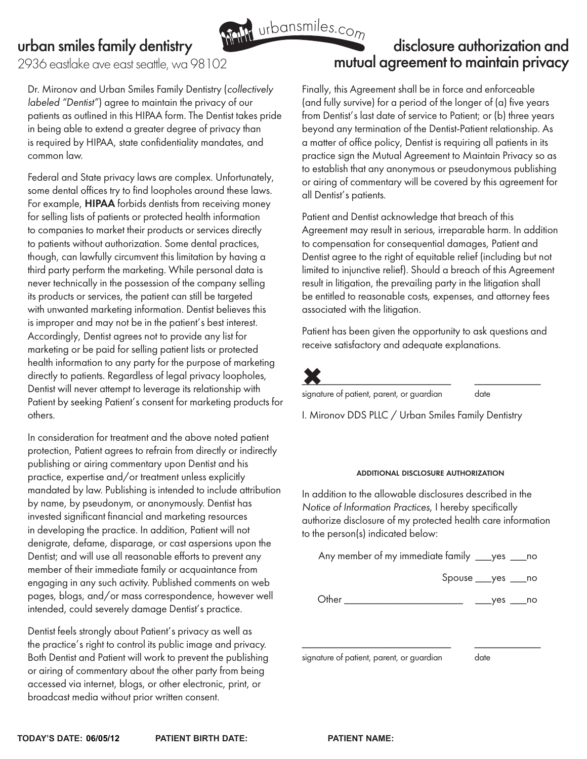2936 eastlake ave east seattle, wa 98102

Dr. Mironov and Urban Smiles Family Dentistry (collectively labeled "Dentist") agree to maintain the privacy of our patients as outlined in this HIPAA form. The Dentist takes pride in being able to extend a greater degree of privacy than is required by HIPAA, state confidentiality mandates, and common law.

Federal and State privacy laws are complex. Unfortunately, some dental offices try to find loopholes around these laws. For example, HIPAA forbids dentists from receiving money for selling lists of patients or protected health information to companies to market their products or services directly to patients without authorization. Some dental practices, though, can lawfully circumvent this limitation by having a third party perform the marketing. While personal data is never technically in the possession of the company selling its products or services, the patient can still be targeted with unwanted marketing information. Dentist believes this is improper and may not be in the patient's best interest. Accordingly, Dentist agrees not to provide any list for marketing or be paid for selling patient lists or protected health information to any party for the purpose of marketing directly to patients. Regardless of legal privacy loopholes, Dentist will never attempt to leverage its relationship with Patient by seeking Patient's consent for marketing products for others.

In consideration for treatment and the above noted patient protection, Patient agrees to refrain from directly or indirectly publishing or airing commentary upon Dentist and his practice, expertise and/or treatment unless explicitly mandated by law. Publishing is intended to include attribution by name, by pseudonym, or anonymously. Dentist has invested significant financial and marketing resources in developing the practice. In addition, Patient will not denigrate, defame, disparage, or cast aspersions upon the Dentist; and will use all reasonable efforts to prevent any member of their immediate family or acquaintance from engaging in any such activity. Published comments on web pages, blogs, and/or mass correspondence, however well intended, could severely damage Dentist's practice.

Dentist feels strongly about Patient's privacy as well as the practice's right to control its public image and privacy. Both Dentist and Patient will work to prevent the publishing or airing of commentary about the other party from being accessed via internet, blogs, or other electronic, print, or broadcast media without prior written consent.

# disclosure authorization and mutual agreement to maintain privacy With urbansmiles.com

Finally, this Agreement shall be in force and enforceable (and fully survive) for a period of the longer of (a) five years from Dentist's last date of service to Patient; or (b) three years beyond any termination of the Dentist-Patient relationship. As a matter of office policy, Dentist is requiring all patients in its practice sign the Mutual Agreement to Maintain Privacy so as to establish that any anonymous or pseudonymous publishing or airing of commentary will be covered by this agreement for all Dentist's patients.

Patient and Dentist acknowledge that breach of this Agreement may result in serious, irreparable harm. In addition to compensation for consequential damages, Patient and Dentist agree to the right of equitable relief (including but not limited to injunctive relief). Should a breach of this Agreement result in litigation, the prevailing party in the litigation shall be entitled to reasonable costs, expenses, and attorney fees associated with the litigation.

Patient has been given the opportunity to ask questions and receive satisfactory and adequate explanations.



signature of patient, parent, or guardian date

I. Mironov DDS PLLC / Urban Smiles Family Dentistry

### additional disclosure authorization

In addition to the allowable disclosures described in the Notice of Information Practices, I hereby specifically authorize disclosure of my protected health care information to the person(s) indicated below:

Any member of my immediate family \_\_\_yes \_\_\_no

Spouse \_\_\_yes \_\_\_no

Other \_\_\_\_\_\_\_\_\_\_\_\_\_\_\_\_\_\_\_\_\_\_ \_\_\_yes \_\_\_no

\_\_\_\_\_\_\_\_\_\_\_\_\_\_\_\_\_\_\_\_\_\_\_\_\_\_\_ \_\_\_\_\_\_\_\_\_\_\_\_

signature of patient, parent, or guardian date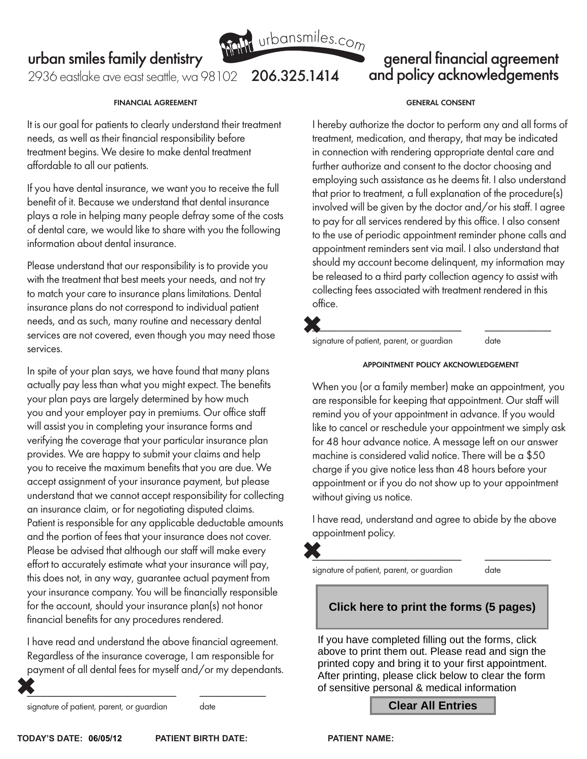

### general financial agreement and policy acknowledgements

2936 eastlake ave east seattle, wa 98102 **206.325.1414** 

#### financial agreement

It is our goal for patients to clearly understand their treatment needs, as well as their financial responsibility before treatment begins. We desire to make dental treatment affordable to all our patients.

If you have dental insurance, we want you to receive the full benefit of it. Because we understand that dental insurance plays a role in helping many people defray some of the costs of dental care, we would like to share with you the following information about dental insurance.

Please understand that our responsibility is to provide you with the treatment that best meets your needs, and not try to match your care to insurance plans limitations. Dental insurance plans do not correspond to individual patient needs, and as such, many routine and necessary dental services are not covered, even though you may need those services.

In spite of your plan says, we have found that many plans actually pay less than what you might expect. The benefits your plan pays are largely determined by how much you and your employer pay in premiums. Our office staff will assist you in completing your insurance forms and verifying the coverage that your particular insurance plan provides. We are happy to submit your claims and help you to receive the maximum benefits that you are due. We accept assignment of your insurance payment, but please understand that we cannot accept responsibility for collecting an insurance claim, or for negotiating disputed claims. Patient is responsible for any applicable deductable amounts and the portion of fees that your insurance does not cover. Please be advised that although our staff will make every effort to accurately estimate what your insurance will pay, this does not, in any way, guarantee actual payment from your insurance company. You will be financially responsible for the account, should your insurance plan(s) not honor financial benefits for any procedures rendered.

I have read and understand the above financial agreement. Regardless of the insurance coverage, I am responsible for payment of all dental fees for myself and/or my dependants.

 $\overline{\phantom{a}}$  , and the contract of the contract of the contract of the contract of the contract of the contract of the contract of the contract of the contract of the contract of the contract of the contract of the contrac

signature of patient, parent, or guardian date

#### general consent

I hereby authorize the doctor to perform any and all forms of treatment, medication, and therapy, that may be indicated in connection with rendering appropriate dental care and further authorize and consent to the doctor choosing and employing such assistance as he deems fit. I also understand that prior to treatment, a full explanation of the procedure(s) involved will be given by the doctor and/or his staff. I agree to pay for all services rendered by this office. I also consent to the use of periodic appointment reminder phone calls and appointment reminders sent via mail. I also understand that should my account become delinquent, my information may be released to a third party collection agency to assist with collecting fees associated with treatment rendered in this office.

 $\overline{\phantom{a}}$  , and the set of the set of the set of the set of the set of the set of the set of the set of the set of the set of the set of the set of the set of the set of the set of the set of the set of the set of the s

signature of patient, parent, or guardian date

#### appointment policy akcnowledgement

When you (or a family member) make an appointment, you are responsible for keeping that appointment. Our staff will remind you of your appointment in advance. If you would like to cancel or reschedule your appointment we simply ask for 48 hour advance notice. A message left on our answer machine is considered valid notice. There will be a \$50 charge if you give notice less than 48 hours before your appointment or if you do not show up to your appointment without giving us notice.

I have read, understand and agree to abide by the above appointment policy.

 $\color{red}\bullet$  . The contract of the contract of the contract of the contract of the contract of the contract of the contract of the contract of the contract of the contract of the contract of the contract of the contract of th

signature of patient, parent, or guardian date

### **Click here to print the forms (5 pages)**

If you have completed filling out the forms, click above to print them out. Please read and sign the printed copy and bring it to your first appointment. After printing, please click below to clear the form of sensitive personal & medical information

#### **Clear All Entries**